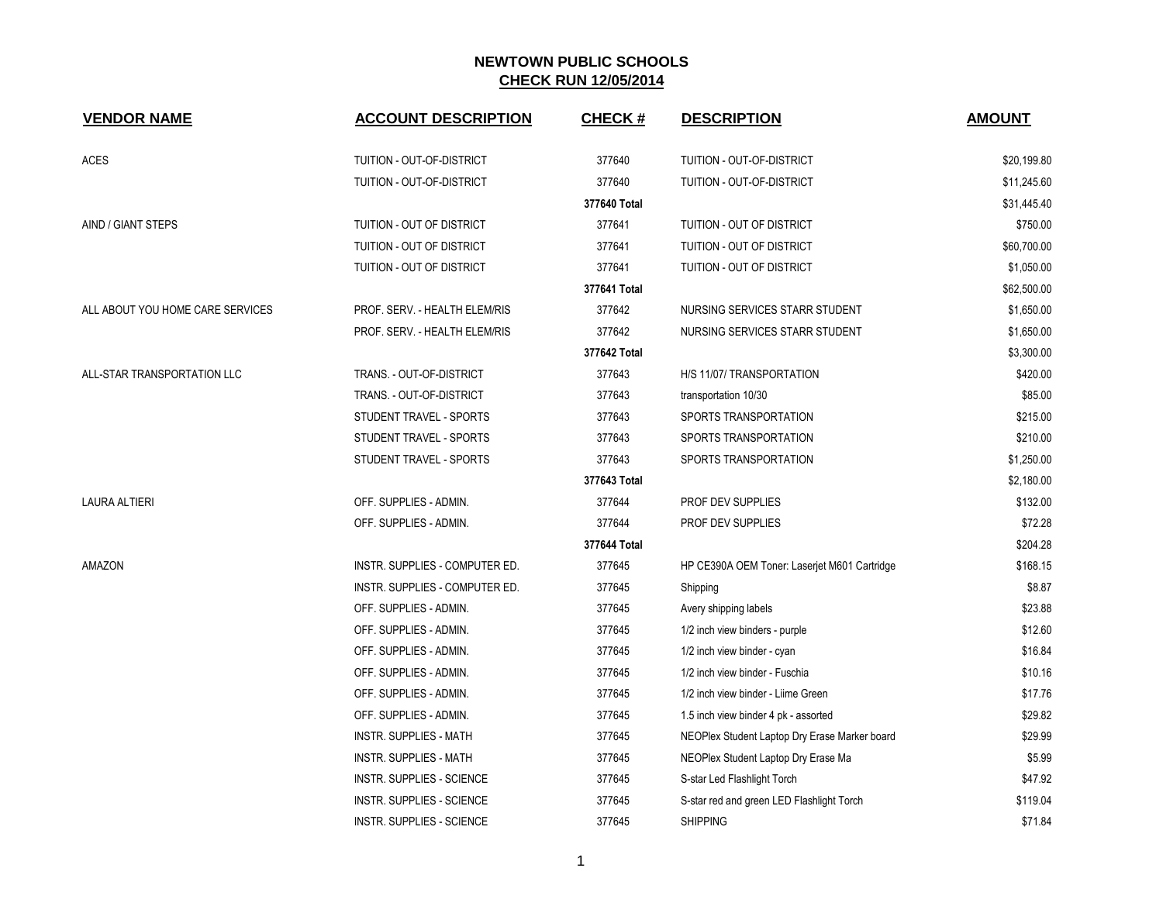| <b>VENDOR NAME</b>               | <b>ACCOUNT DESCRIPTION</b>       | <b>CHECK#</b> | <b>DESCRIPTION</b>                            | <b>AMOUNT</b> |
|----------------------------------|----------------------------------|---------------|-----------------------------------------------|---------------|
| <b>ACES</b>                      | TUITION - OUT-OF-DISTRICT        | 377640        | TUITION - OUT-OF-DISTRICT                     | \$20,199.80   |
|                                  | TUITION - OUT-OF-DISTRICT        | 377640        | <b>TUITION - OUT-OF-DISTRICT</b>              | \$11,245.60   |
|                                  |                                  | 377640 Total  |                                               | \$31,445.40   |
| AIND / GIANT STEPS               | TUITION - OUT OF DISTRICT        | 377641        | TUITION - OUT OF DISTRICT                     | \$750.00      |
|                                  | TUITION - OUT OF DISTRICT        | 377641        | TUITION - OUT OF DISTRICT                     | \$60,700.00   |
|                                  | TUITION - OUT OF DISTRICT        | 377641        | TUITION - OUT OF DISTRICT                     | \$1,050.00    |
|                                  |                                  | 377641 Total  |                                               | \$62,500.00   |
| ALL ABOUT YOU HOME CARE SERVICES | PROF. SERV. - HEALTH ELEM/RIS    | 377642        | NURSING SERVICES STARR STUDENT                | \$1,650.00    |
|                                  | PROF. SERV. - HEALTH ELEM/RIS    | 377642        | NURSING SERVICES STARR STUDENT                | \$1,650.00    |
|                                  |                                  | 377642 Total  |                                               | \$3,300.00    |
| ALL-STAR TRANSPORTATION LLC      | TRANS. - OUT-OF-DISTRICT         | 377643        | H/S 11/07/ TRANSPORTATION                     | \$420.00      |
|                                  | TRANS. - OUT-OF-DISTRICT         | 377643        | transportation 10/30                          | \$85.00       |
|                                  | STUDENT TRAVEL - SPORTS          | 377643        | SPORTS TRANSPORTATION                         | \$215.00      |
|                                  | STUDENT TRAVEL - SPORTS          | 377643        | SPORTS TRANSPORTATION                         | \$210.00      |
|                                  | STUDENT TRAVEL - SPORTS          | 377643        | SPORTS TRANSPORTATION                         | \$1,250.00    |
|                                  |                                  | 377643 Total  |                                               | \$2,180.00    |
| <b>LAURA ALTIERI</b>             | OFF. SUPPLIES - ADMIN.           | 377644        | PROF DEV SUPPLIES                             | \$132.00      |
|                                  | OFF. SUPPLIES - ADMIN.           | 377644        | PROF DEV SUPPLIES                             | \$72.28       |
|                                  |                                  | 377644 Total  |                                               | \$204.28      |
| <b>AMAZON</b>                    | INSTR. SUPPLIES - COMPUTER ED.   | 377645        | HP CE390A OEM Toner: Laserjet M601 Cartridge  | \$168.15      |
|                                  | INSTR. SUPPLIES - COMPUTER ED.   | 377645        | Shipping                                      | \$8.87        |
|                                  | OFF. SUPPLIES - ADMIN.           | 377645        | Avery shipping labels                         | \$23.88       |
|                                  | OFF. SUPPLIES - ADMIN.           | 377645        | 1/2 inch view binders - purple                | \$12.60       |
|                                  | OFF. SUPPLIES - ADMIN.           | 377645        | 1/2 inch view binder - cyan                   | \$16.84       |
|                                  | OFF. SUPPLIES - ADMIN.           | 377645        | 1/2 inch view binder - Fuschia                | \$10.16       |
|                                  | OFF. SUPPLIES - ADMIN.           | 377645        | 1/2 inch view binder - Liime Green            | \$17.76       |
|                                  | OFF. SUPPLIES - ADMIN.           | 377645        | 1.5 inch view binder 4 pk - assorted          | \$29.82       |
|                                  | <b>INSTR. SUPPLIES - MATH</b>    | 377645        | NEOPlex Student Laptop Dry Erase Marker board | \$29.99       |
|                                  | <b>INSTR. SUPPLIES - MATH</b>    | 377645        | NEOPlex Student Laptop Dry Erase Ma           | \$5.99        |
|                                  | <b>INSTR. SUPPLIES - SCIENCE</b> | 377645        | S-star Led Flashlight Torch                   | \$47.92       |
|                                  | <b>INSTR. SUPPLIES - SCIENCE</b> | 377645        | S-star red and green LED Flashlight Torch     | \$119.04      |
|                                  | INSTR. SUPPLIES - SCIENCE        | 377645        | <b>SHIPPING</b>                               | \$71.84       |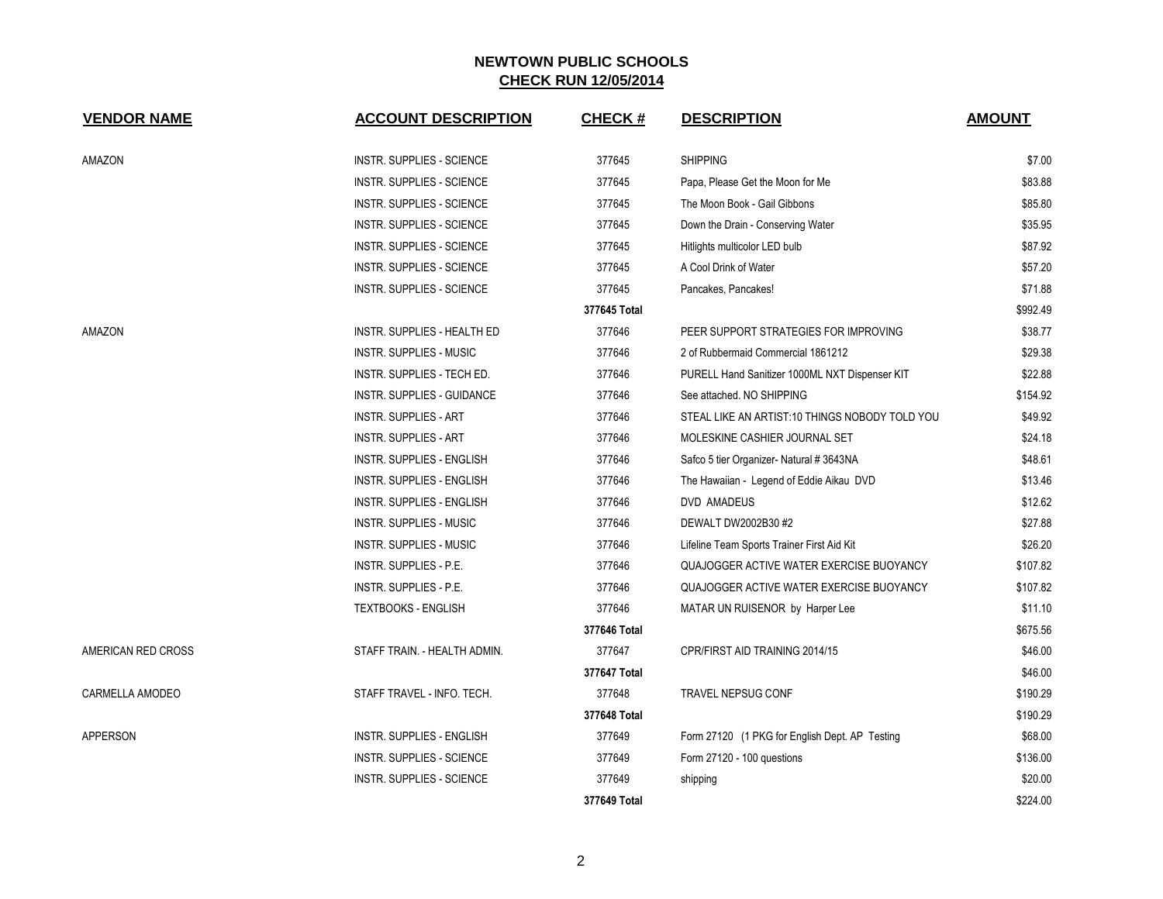| <b>VENDOR NAME</b> | <b>ACCOUNT DESCRIPTION</b>       | <b>CHECK#</b> | <b>DESCRIPTION</b>                             | <b>AMOUNT</b> |
|--------------------|----------------------------------|---------------|------------------------------------------------|---------------|
| AMAZON             | INSTR. SUPPLIES - SCIENCE        | 377645        | <b>SHIPPING</b>                                | \$7.00        |
|                    | <b>INSTR. SUPPLIES - SCIENCE</b> | 377645        | Papa, Please Get the Moon for Me               | \$83.88       |
|                    | <b>INSTR. SUPPLIES - SCIENCE</b> | 377645        | The Moon Book - Gail Gibbons                   | \$85.80       |
|                    | <b>INSTR. SUPPLIES - SCIENCE</b> | 377645        | Down the Drain - Conserving Water              | \$35.95       |
|                    | <b>INSTR. SUPPLIES - SCIENCE</b> | 377645        | Hitlights multicolor LED bulb                  | \$87.92       |
|                    | <b>INSTR. SUPPLIES - SCIENCE</b> | 377645        | A Cool Drink of Water                          | \$57.20       |
|                    | <b>INSTR. SUPPLIES - SCIENCE</b> | 377645        | Pancakes, Pancakes!                            | \$71.88       |
|                    |                                  | 377645 Total  |                                                | \$992.49      |
| AMAZON             | INSTR. SUPPLIES - HEALTH ED      | 377646        | PEER SUPPORT STRATEGIES FOR IMPROVING          | \$38.77       |
|                    | INSTR. SUPPLIES - MUSIC          | 377646        | 2 of Rubbermaid Commercial 1861212             | \$29.38       |
|                    | INSTR. SUPPLIES - TECH ED.       | 377646        | PURELL Hand Sanitizer 1000ML NXT Dispenser KIT | \$22.88       |
|                    | INSTR. SUPPLIES - GUIDANCE       | 377646        | See attached. NO SHIPPING                      | \$154.92      |
|                    | <b>INSTR. SUPPLIES - ART</b>     | 377646        | STEAL LIKE AN ARTIST:10 THINGS NOBODY TOLD YOU | \$49.92       |
|                    | <b>INSTR. SUPPLIES - ART</b>     | 377646        | MOLESKINE CASHIER JOURNAL SET                  | \$24.18       |
|                    | INSTR. SUPPLIES - ENGLISH        | 377646        | Safco 5 tier Organizer- Natural # 3643NA       | \$48.61       |
|                    | INSTR. SUPPLIES - ENGLISH        | 377646        | The Hawaiian - Legend of Eddie Aikau DVD       | \$13.46       |
|                    | INSTR. SUPPLIES - ENGLISH        | 377646        | DVD AMADEUS                                    | \$12.62       |
|                    | INSTR. SUPPLIES - MUSIC          | 377646        | DEWALT DW2002B30 #2                            | \$27.88       |
|                    | INSTR. SUPPLIES - MUSIC          | 377646        | Lifeline Team Sports Trainer First Aid Kit     | \$26.20       |
|                    | <b>INSTR. SUPPLIES - P.E.</b>    | 377646        | QUAJOGGER ACTIVE WATER EXERCISE BUOYANCY       | \$107.82      |
|                    | <b>INSTR. SUPPLIES - P.E.</b>    | 377646        | QUAJOGGER ACTIVE WATER EXERCISE BUOYANCY       | \$107.82      |
|                    | <b>TEXTBOOKS - ENGLISH</b>       | 377646        | MATAR UN RUISENOR by Harper Lee                | \$11.10       |
|                    |                                  | 377646 Total  |                                                | \$675.56      |
| AMERICAN RED CROSS | STAFF TRAIN. - HEALTH ADMIN.     | 377647        | CPR/FIRST AID TRAINING 2014/15                 | \$46.00       |
|                    |                                  | 377647 Total  |                                                | \$46.00       |
| CARMELLA AMODEO    | STAFF TRAVEL - INFO. TECH.       | 377648        | <b>TRAVEL NEPSUG CONF</b>                      | \$190.29      |
|                    |                                  | 377648 Total  |                                                | \$190.29      |
| <b>APPERSON</b>    | INSTR. SUPPLIES - ENGLISH        | 377649        | Form 27120 (1 PKG for English Dept. AP Testing | \$68.00       |
|                    | <b>INSTR. SUPPLIES - SCIENCE</b> | 377649        | Form 27120 - 100 questions                     | \$136.00      |
|                    | INSTR. SUPPLIES - SCIENCE        | 377649        | shipping                                       | \$20.00       |
|                    |                                  | 377649 Total  |                                                | \$224.00      |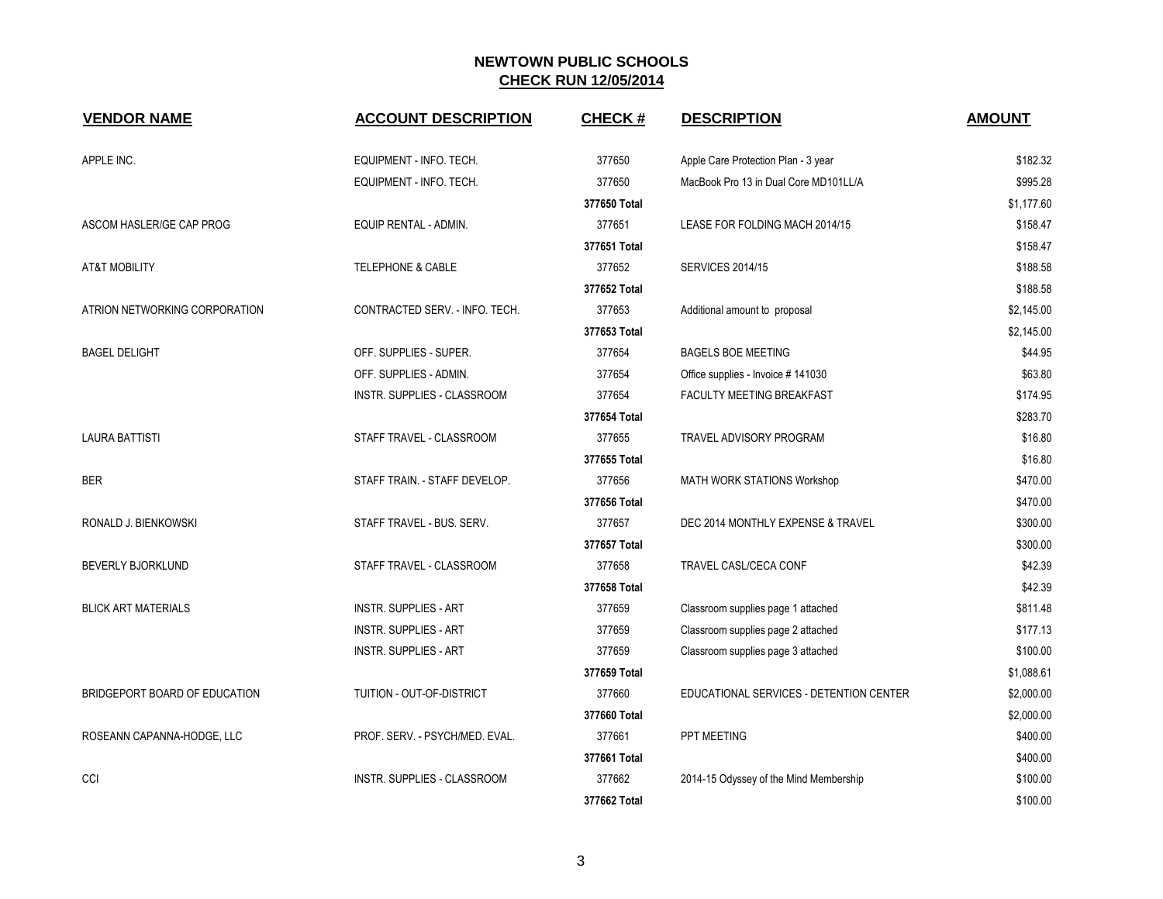| <b>VENDOR NAME</b>            | <b>ACCOUNT DESCRIPTION</b>     | <b>CHECK#</b> | <b>DESCRIPTION</b>                      | <b>AMOUNT</b> |
|-------------------------------|--------------------------------|---------------|-----------------------------------------|---------------|
| APPLE INC.                    | EQUIPMENT - INFO. TECH.        | 377650        | Apple Care Protection Plan - 3 year     | \$182.32      |
|                               | EQUIPMENT - INFO. TECH.        | 377650        | MacBook Pro 13 in Dual Core MD101LL/A   | \$995.28      |
|                               |                                | 377650 Total  |                                         | \$1,177.60    |
| ASCOM HASLER/GE CAP PROG      | EQUIP RENTAL - ADMIN.          | 377651        | LEASE FOR FOLDING MACH 2014/15          | \$158.47      |
|                               |                                | 377651 Total  |                                         | \$158.47      |
| <b>AT&amp;T MOBILITY</b>      | <b>TELEPHONE &amp; CABLE</b>   | 377652        | <b>SERVICES 2014/15</b>                 | \$188.58      |
|                               |                                | 377652 Total  |                                         | \$188.58      |
| ATRION NETWORKING CORPORATION | CONTRACTED SERV. - INFO. TECH. | 377653        | Additional amount to proposal           | \$2,145.00    |
|                               |                                | 377653 Total  |                                         | \$2,145.00    |
| <b>BAGEL DELIGHT</b>          | OFF. SUPPLIES - SUPER.         | 377654        | <b>BAGELS BOE MEETING</b>               | \$44.95       |
|                               | OFF. SUPPLIES - ADMIN.         | 377654        | Office supplies - Invoice #141030       | \$63.80       |
|                               | INSTR. SUPPLIES - CLASSROOM    | 377654        | FACULTY MEETING BREAKFAST               | \$174.95      |
|                               |                                | 377654 Total  |                                         | \$283.70      |
| <b>LAURA BATTISTI</b>         | STAFF TRAVEL - CLASSROOM       | 377655        | TRAVEL ADVISORY PROGRAM                 | \$16.80       |
|                               |                                | 377655 Total  |                                         | \$16.80       |
| <b>BER</b>                    | STAFF TRAIN. - STAFF DEVELOP.  | 377656        | MATH WORK STATIONS Workshop             | \$470.00      |
|                               |                                | 377656 Total  |                                         | \$470.00      |
| RONALD J. BIENKOWSKI          | STAFF TRAVEL - BUS. SERV.      | 377657        | DEC 2014 MONTHLY EXPENSE & TRAVEL       | \$300.00      |
|                               |                                | 377657 Total  |                                         | \$300.00      |
| BEVERLY BJORKLUND             | STAFF TRAVEL - CLASSROOM       | 377658        | TRAVEL CASL/CECA CONF                   | \$42.39       |
|                               |                                | 377658 Total  |                                         | \$42.39       |
| <b>BLICK ART MATERIALS</b>    | <b>INSTR. SUPPLIES - ART</b>   | 377659        | Classroom supplies page 1 attached      | \$811.48      |
|                               | <b>INSTR. SUPPLIES - ART</b>   | 377659        | Classroom supplies page 2 attached      | \$177.13      |
|                               | <b>INSTR. SUPPLIES - ART</b>   | 377659        | Classroom supplies page 3 attached      | \$100.00      |
|                               |                                | 377659 Total  |                                         | \$1,088.61    |
| BRIDGEPORT BOARD OF EDUCATION | TUITION - OUT-OF-DISTRICT      | 377660        | EDUCATIONAL SERVICES - DETENTION CENTER | \$2,000.00    |
|                               |                                | 377660 Total  |                                         | \$2,000.00    |
| ROSEANN CAPANNA-HODGE, LLC    | PROF. SERV. - PSYCH/MED. EVAL. | 377661        | PPT MEETING                             | \$400.00      |
|                               |                                | 377661 Total  |                                         | \$400.00      |
| CCI                           | INSTR. SUPPLIES - CLASSROOM    | 377662        | 2014-15 Odyssey of the Mind Membership  | \$100.00      |
|                               |                                | 377662 Total  |                                         | \$100.00      |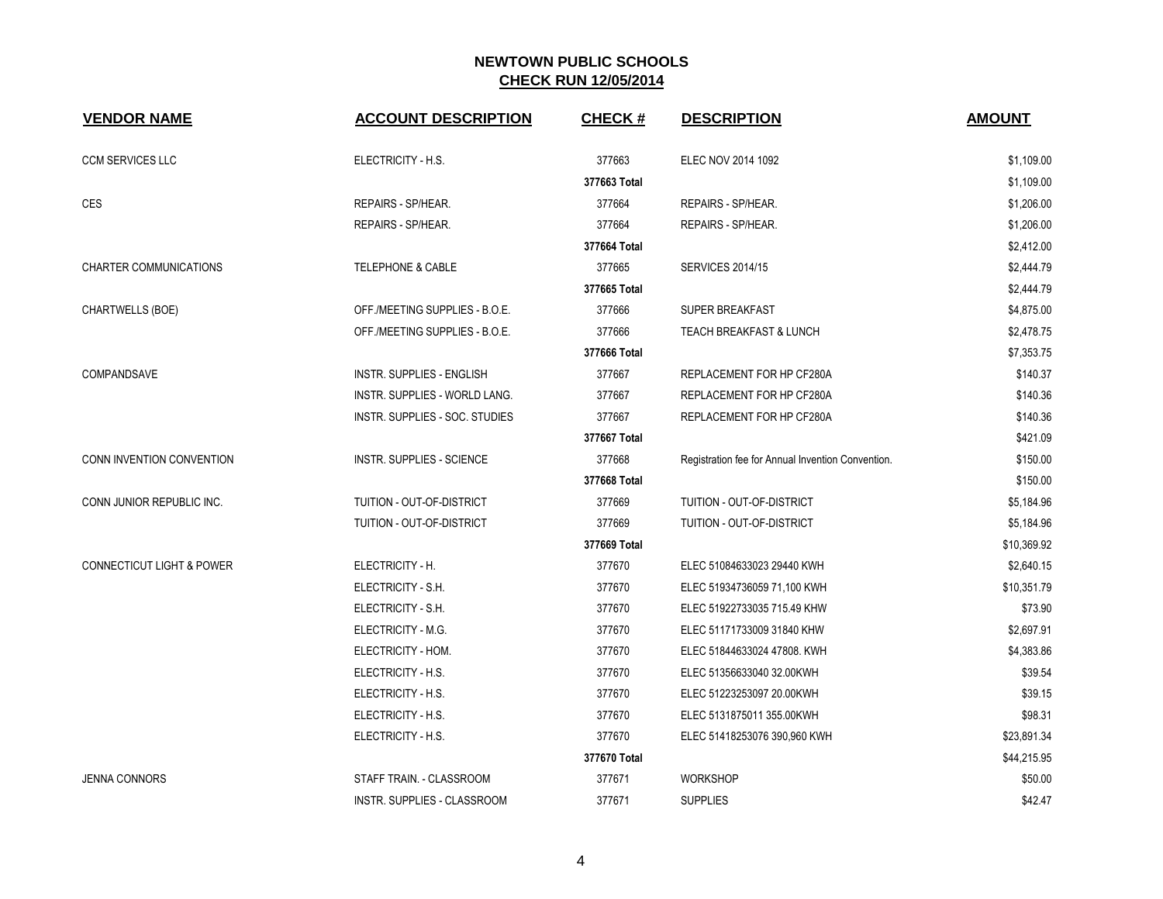| <b>VENDOR NAME</b>                   | <b>ACCOUNT DESCRIPTION</b>       | <b>CHECK#</b> | <b>DESCRIPTION</b>                                | <b>AMOUNT</b> |
|--------------------------------------|----------------------------------|---------------|---------------------------------------------------|---------------|
| <b>CCM SERVICES LLC</b>              | ELECTRICITY - H.S.               | 377663        | ELEC NOV 2014 1092                                | \$1,109.00    |
|                                      |                                  | 377663 Total  |                                                   | \$1,109.00    |
| <b>CES</b>                           | REPAIRS - SP/HEAR.               | 377664        | REPAIRS - SP/HEAR.                                | \$1,206.00    |
|                                      | REPAIRS - SP/HEAR.               | 377664        | REPAIRS - SP/HEAR.                                | \$1,206.00    |
|                                      |                                  | 377664 Total  |                                                   | \$2,412.00    |
| <b>CHARTER COMMUNICATIONS</b>        | <b>TELEPHONE &amp; CABLE</b>     | 377665        | <b>SERVICES 2014/15</b>                           | \$2,444.79    |
|                                      |                                  | 377665 Total  |                                                   | \$2,444.79    |
| CHARTWELLS (BOE)                     | OFF./MEETING SUPPLIES - B.O.E.   | 377666        | SUPER BREAKFAST                                   | \$4,875.00    |
|                                      | OFF./MEETING SUPPLIES - B.O.E.   | 377666        | <b>TEACH BREAKFAST &amp; LUNCH</b>                | \$2,478.75    |
|                                      |                                  | 377666 Total  |                                                   | \$7,353.75    |
| <b>COMPANDSAVE</b>                   | <b>INSTR. SUPPLIES - ENGLISH</b> | 377667        | REPLACEMENT FOR HP CF280A                         | \$140.37      |
|                                      | INSTR. SUPPLIES - WORLD LANG.    | 377667        | REPLACEMENT FOR HP CF280A                         | \$140.36      |
|                                      | INSTR. SUPPLIES - SOC. STUDIES   | 377667        | REPLACEMENT FOR HP CF280A                         | \$140.36      |
|                                      |                                  | 377667 Total  |                                                   | \$421.09      |
| CONN INVENTION CONVENTION            | INSTR. SUPPLIES - SCIENCE        | 377668        | Registration fee for Annual Invention Convention. | \$150.00      |
|                                      |                                  | 377668 Total  |                                                   | \$150.00      |
| CONN JUNIOR REPUBLIC INC.            | TUITION - OUT-OF-DISTRICT        | 377669        | TUITION - OUT-OF-DISTRICT                         | \$5,184.96    |
|                                      | TUITION - OUT-OF-DISTRICT        | 377669        | TUITION - OUT-OF-DISTRICT                         | \$5,184.96    |
|                                      |                                  | 377669 Total  |                                                   | \$10,369.92   |
| <b>CONNECTICUT LIGHT &amp; POWER</b> | ELECTRICITY - H.                 | 377670        | ELEC 51084633023 29440 KWH                        | \$2,640.15    |
|                                      | ELECTRICITY - S.H.               | 377670        | ELEC 51934736059 71,100 KWH                       | \$10,351.79   |
|                                      | ELECTRICITY - S.H.               | 377670        | ELEC 51922733035 715.49 KHW                       | \$73.90       |
|                                      | ELECTRICITY - M.G.               | 377670        | ELEC 51171733009 31840 KHW                        | \$2,697.91    |
|                                      | ELECTRICITY - HOM.               | 377670        | ELEC 51844633024 47808. KWH                       | \$4,383.86    |
|                                      | ELECTRICITY - H.S.               | 377670        | ELEC 51356633040 32.00KWH                         | \$39.54       |
|                                      | ELECTRICITY - H.S.               | 377670        | ELEC 51223253097 20.00KWH                         | \$39.15       |
|                                      | ELECTRICITY - H.S.               | 377670        | ELEC 5131875011 355.00KWH                         | \$98.31       |
|                                      | ELECTRICITY - H.S.               | 377670        | ELEC 51418253076 390,960 KWH                      | \$23,891.34   |
|                                      |                                  | 377670 Total  |                                                   | \$44,215.95   |
| <b>JENNA CONNORS</b>                 | STAFF TRAIN. - CLASSROOM         | 377671        | <b>WORKSHOP</b>                                   | \$50.00       |
|                                      | INSTR. SUPPLIES - CLASSROOM      | 377671        | <b>SUPPLIES</b>                                   | \$42.47       |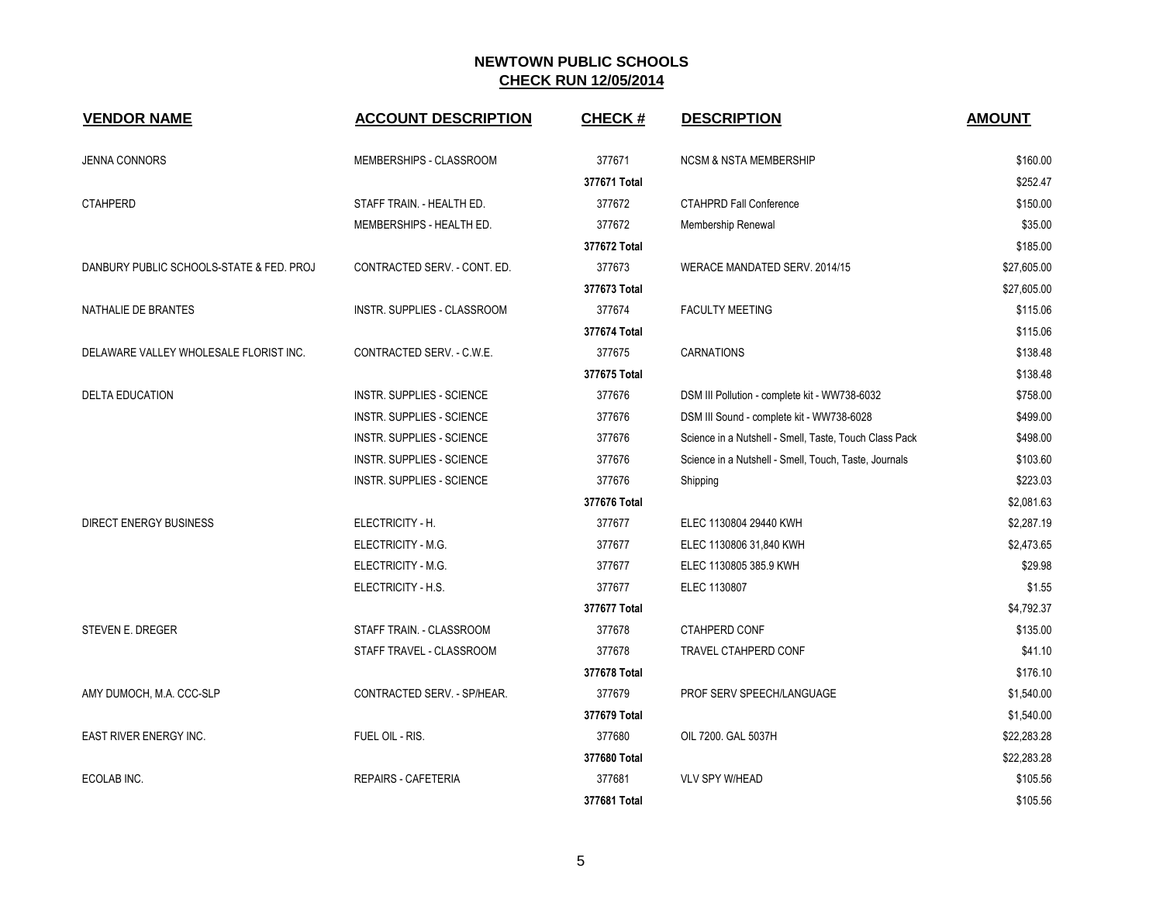| <b>VENDOR NAME</b>                       | <b>ACCOUNT DESCRIPTION</b>       | <b>CHECK#</b> | <b>DESCRIPTION</b>                                     | <b>AMOUNT</b> |
|------------------------------------------|----------------------------------|---------------|--------------------------------------------------------|---------------|
| <b>JENNA CONNORS</b>                     | MEMBERSHIPS - CLASSROOM          | 377671        | <b>NCSM &amp; NSTA MEMBERSHIP</b>                      | \$160.00      |
|                                          |                                  | 377671 Total  |                                                        | \$252.47      |
| <b>CTAHPERD</b>                          | STAFF TRAIN. - HEALTH ED.        | 377672        | <b>CTAHPRD Fall Conference</b>                         | \$150.00      |
|                                          | MEMBERSHIPS - HEALTH ED.         | 377672        | Membership Renewal                                     | \$35.00       |
|                                          |                                  | 377672 Total  |                                                        | \$185.00      |
| DANBURY PUBLIC SCHOOLS-STATE & FED. PROJ | CONTRACTED SERV. - CONT. ED.     | 377673        | WERACE MANDATED SERV. 2014/15                          | \$27,605.00   |
|                                          |                                  | 377673 Total  |                                                        | \$27,605.00   |
| NATHALIE DE BRANTES                      | INSTR. SUPPLIES - CLASSROOM      | 377674        | <b>FACULTY MEETING</b>                                 | \$115.06      |
|                                          |                                  | 377674 Total  |                                                        | \$115.06      |
| DELAWARE VALLEY WHOLESALE FLORIST INC.   | CONTRACTED SERV. - C.W.E.        | 377675        | <b>CARNATIONS</b>                                      | \$138.48      |
|                                          |                                  | 377675 Total  |                                                        | \$138.48      |
| <b>DELTA EDUCATION</b>                   | <b>INSTR. SUPPLIES - SCIENCE</b> | 377676        | DSM III Pollution - complete kit - WW738-6032          | \$758.00      |
|                                          | <b>INSTR. SUPPLIES - SCIENCE</b> | 377676        | DSM III Sound - complete kit - WW738-6028              | \$499.00      |
|                                          | <b>INSTR. SUPPLIES - SCIENCE</b> | 377676        | Science in a Nutshell - Smell, Taste, Touch Class Pack | \$498.00      |
|                                          | INSTR. SUPPLIES - SCIENCE        | 377676        | Science in a Nutshell - Smell, Touch, Taste, Journals  | \$103.60      |
|                                          | INSTR. SUPPLIES - SCIENCE        | 377676        | Shipping                                               | \$223.03      |
|                                          |                                  | 377676 Total  |                                                        | \$2,081.63    |
| <b>DIRECT ENERGY BUSINESS</b>            | ELECTRICITY - H.                 | 377677        | ELEC 1130804 29440 KWH                                 | \$2,287.19    |
|                                          | ELECTRICITY - M.G.               | 377677        | ELEC 1130806 31,840 KWH                                | \$2,473.65    |
|                                          | ELECTRICITY - M.G.               | 377677        | ELEC 1130805 385.9 KWH                                 | \$29.98       |
|                                          | ELECTRICITY - H.S.               | 377677        | ELEC 1130807                                           | \$1.55        |
|                                          |                                  | 377677 Total  |                                                        | \$4,792.37    |
| STEVEN E. DREGER                         | STAFF TRAIN. - CLASSROOM         | 377678        | CTAHPERD CONF                                          | \$135.00      |
|                                          | STAFF TRAVEL - CLASSROOM         | 377678        | TRAVEL CTAHPERD CONF                                   | \$41.10       |
|                                          |                                  | 377678 Total  |                                                        | \$176.10      |
| AMY DUMOCH, M.A. CCC-SLP                 | CONTRACTED SERV. - SP/HEAR.      | 377679        | PROF SERV SPEECH/LANGUAGE                              | \$1,540.00    |
|                                          |                                  | 377679 Total  |                                                        | \$1,540.00    |
| EAST RIVER ENERGY INC.                   | FUEL OIL - RIS.                  | 377680        | OIL 7200. GAL 5037H                                    | \$22,283.28   |
|                                          |                                  | 377680 Total  |                                                        | \$22,283.28   |
| ECOLAB INC.                              | <b>REPAIRS - CAFETERIA</b>       | 377681        | <b>VLV SPY W/HEAD</b>                                  | \$105.56      |
|                                          |                                  | 377681 Total  |                                                        | \$105.56      |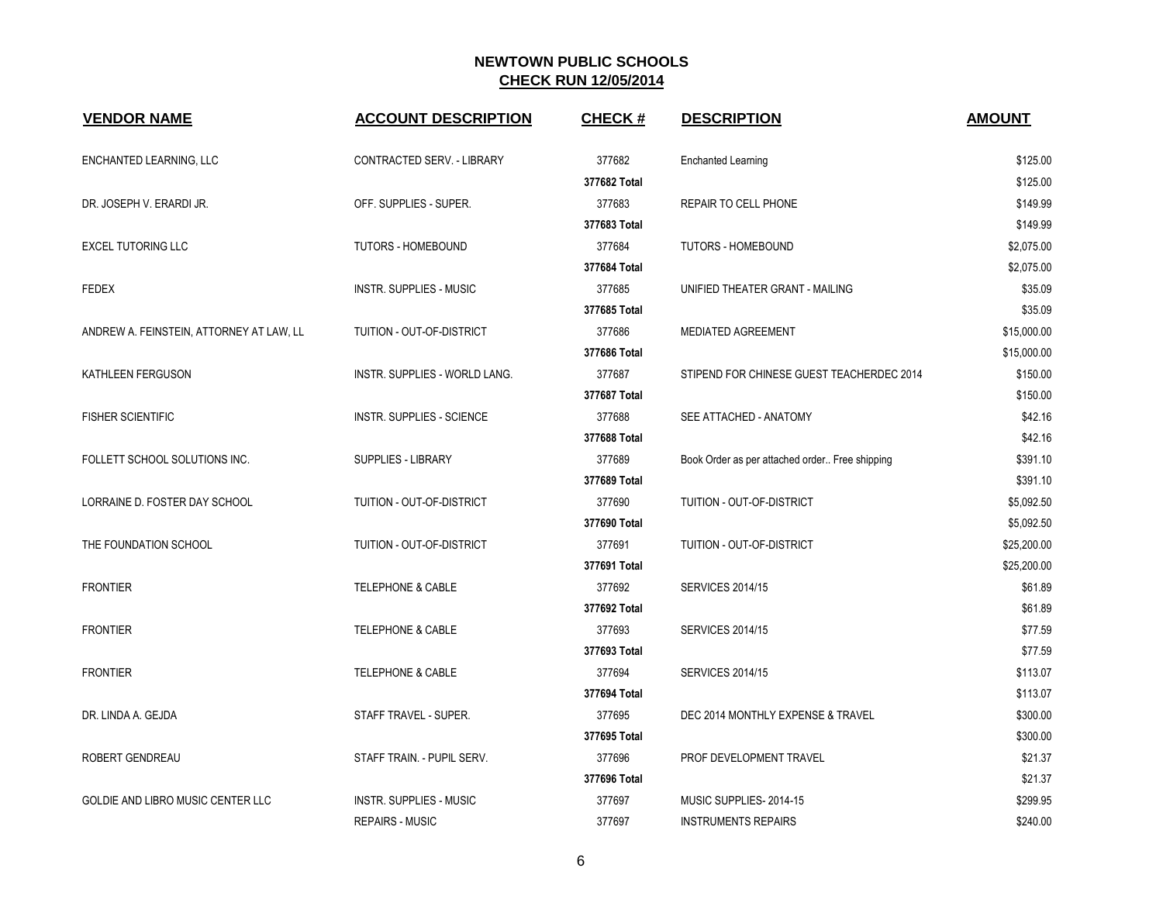| <b>VENDOR NAME</b>                       | <b>ACCOUNT DESCRIPTION</b>       | <b>CHECK#</b> | <b>DESCRIPTION</b>                             | <b>AMOUNT</b> |
|------------------------------------------|----------------------------------|---------------|------------------------------------------------|---------------|
| ENCHANTED LEARNING, LLC                  | CONTRACTED SERV. - LIBRARY       | 377682        | <b>Enchanted Learning</b>                      | \$125.00      |
|                                          |                                  | 377682 Total  |                                                | \$125.00      |
| DR. JOSEPH V. ERARDI JR.                 | OFF. SUPPLIES - SUPER.           | 377683        | REPAIR TO CELL PHONE                           | \$149.99      |
|                                          |                                  | 377683 Total  |                                                | \$149.99      |
| <b>EXCEL TUTORING LLC</b>                | TUTORS - HOMEBOUND               | 377684        | <b>TUTORS - HOMEBOUND</b>                      | \$2,075.00    |
|                                          |                                  | 377684 Total  |                                                | \$2,075.00    |
| <b>FEDEX</b>                             | <b>INSTR. SUPPLIES - MUSIC</b>   | 377685        | UNIFIED THEATER GRANT - MAILING                | \$35.09       |
|                                          |                                  | 377685 Total  |                                                | \$35.09       |
| ANDREW A. FEINSTEIN, ATTORNEY AT LAW, LL | TUITION - OUT-OF-DISTRICT        | 377686        | MEDIATED AGREEMENT                             | \$15,000.00   |
|                                          |                                  | 377686 Total  |                                                | \$15,000.00   |
| KATHLEEN FERGUSON                        | INSTR. SUPPLIES - WORLD LANG.    | 377687        | STIPEND FOR CHINESE GUEST TEACHERDEC 2014      | \$150.00      |
|                                          |                                  | 377687 Total  |                                                | \$150.00      |
| <b>FISHER SCIENTIFIC</b>                 | <b>INSTR. SUPPLIES - SCIENCE</b> | 377688        | SEE ATTACHED - ANATOMY                         | \$42.16       |
|                                          |                                  | 377688 Total  |                                                | \$42.16       |
| FOLLETT SCHOOL SOLUTIONS INC.            | SUPPLIES - LIBRARY               | 377689        | Book Order as per attached order Free shipping | \$391.10      |
|                                          |                                  | 377689 Total  |                                                | \$391.10      |
| LORRAINE D. FOSTER DAY SCHOOL            | TUITION - OUT-OF-DISTRICT        | 377690        | TUITION - OUT-OF-DISTRICT                      | \$5,092.50    |
|                                          |                                  | 377690 Total  |                                                | \$5,092.50    |
| THE FOUNDATION SCHOOL                    | TUITION - OUT-OF-DISTRICT        | 377691        | TUITION - OUT-OF-DISTRICT                      | \$25,200.00   |
|                                          |                                  | 377691 Total  |                                                | \$25,200.00   |
| <b>FRONTIER</b>                          | <b>TELEPHONE &amp; CABLE</b>     | 377692        | <b>SERVICES 2014/15</b>                        | \$61.89       |
|                                          |                                  | 377692 Total  |                                                | \$61.89       |
| <b>FRONTIER</b>                          | <b>TELEPHONE &amp; CABLE</b>     | 377693        | <b>SERVICES 2014/15</b>                        | \$77.59       |
|                                          |                                  | 377693 Total  |                                                | \$77.59       |
| <b>FRONTIER</b>                          | TELEPHONE & CABLE                | 377694        | <b>SERVICES 2014/15</b>                        | \$113.07      |
|                                          |                                  | 377694 Total  |                                                | \$113.07      |
| DR. LINDA A. GEJDA                       | STAFF TRAVEL - SUPER.            | 377695        | DEC 2014 MONTHLY EXPENSE & TRAVEL              | \$300.00      |
|                                          |                                  | 377695 Total  |                                                | \$300.00      |
| ROBERT GENDREAU                          | STAFF TRAIN. - PUPIL SERV.       | 377696        | PROF DEVELOPMENT TRAVEL                        | \$21.37       |
|                                          |                                  | 377696 Total  |                                                | \$21.37       |
| GOLDIE AND LIBRO MUSIC CENTER LLC        | <b>INSTR. SUPPLIES - MUSIC</b>   | 377697        | MUSIC SUPPLIES-2014-15                         | \$299.95      |
|                                          | <b>REPAIRS - MUSIC</b>           | 377697        | <b>INSTRUMENTS REPAIRS</b>                     | \$240.00      |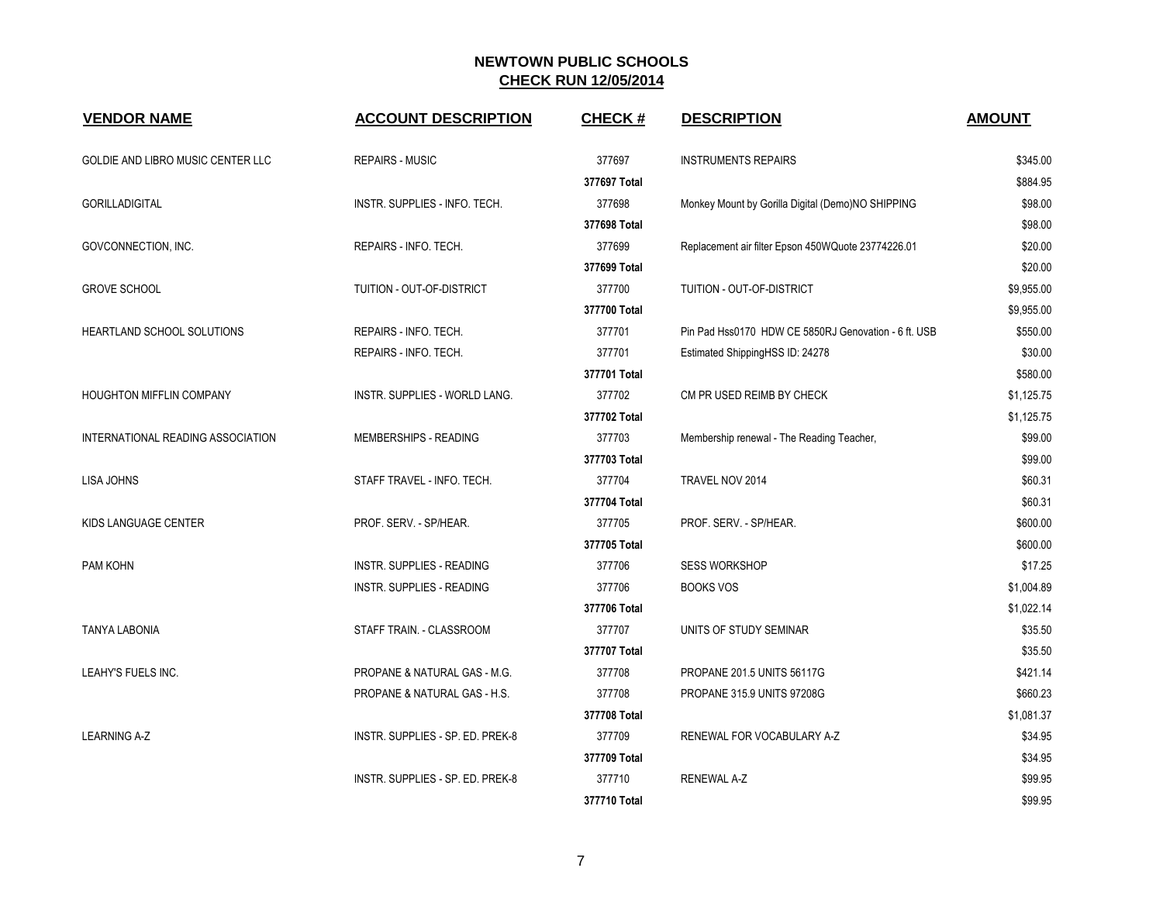| <b>VENDOR NAME</b>                | <b>ACCOUNT DESCRIPTION</b>       | <b>CHECK#</b> | <b>DESCRIPTION</b>                                   | <b>AMOUNT</b> |
|-----------------------------------|----------------------------------|---------------|------------------------------------------------------|---------------|
| GOLDIE AND LIBRO MUSIC CENTER LLC | <b>REPAIRS - MUSIC</b>           | 377697        | <b>INSTRUMENTS REPAIRS</b>                           | \$345.00      |
|                                   |                                  | 377697 Total  |                                                      | \$884.95      |
| <b>GORILLADIGITAL</b>             | INSTR. SUPPLIES - INFO. TECH.    | 377698        | Monkey Mount by Gorilla Digital (Demo)NO SHIPPING    | \$98.00       |
|                                   |                                  | 377698 Total  |                                                      | \$98.00       |
| GOVCONNECTION, INC.               | REPAIRS - INFO. TECH.            | 377699        | Replacement air filter Epson 450WQuote 23774226.01   | \$20.00       |
|                                   |                                  | 377699 Total  |                                                      | \$20.00       |
| <b>GROVE SCHOOL</b>               | TUITION - OUT-OF-DISTRICT        | 377700        | TUITION - OUT-OF-DISTRICT                            | \$9,955.00    |
|                                   |                                  | 377700 Total  |                                                      | \$9,955.00    |
| HEARTLAND SCHOOL SOLUTIONS        | REPAIRS - INFO. TECH.            | 377701        | Pin Pad Hss0170 HDW CE 5850RJ Genovation - 6 ft. USB | \$550.00      |
|                                   | REPAIRS - INFO. TECH.            | 377701        | Estimated ShippingHSS ID: 24278                      | \$30.00       |
|                                   |                                  | 377701 Total  |                                                      | \$580.00      |
| HOUGHTON MIFFLIN COMPANY          | INSTR. SUPPLIES - WORLD LANG.    | 377702        | CM PR USED REIMB BY CHECK                            | \$1,125.75    |
|                                   |                                  | 377702 Total  |                                                      | \$1,125.75    |
| INTERNATIONAL READING ASSOCIATION | MEMBERSHIPS - READING            | 377703        | Membership renewal - The Reading Teacher,            | \$99.00       |
|                                   |                                  | 377703 Total  |                                                      | \$99.00       |
| LISA JOHNS                        | STAFF TRAVEL - INFO. TECH.       | 377704        | TRAVEL NOV 2014                                      | \$60.31       |
|                                   |                                  | 377704 Total  |                                                      | \$60.31       |
| KIDS LANGUAGE CENTER              | PROF. SERV. - SP/HEAR.           | 377705        | PROF. SERV. - SP/HEAR.                               | \$600.00      |
|                                   |                                  | 377705 Total  |                                                      | \$600.00      |
| PAM KOHN                          | INSTR. SUPPLIES - READING        | 377706        | <b>SESS WORKSHOP</b>                                 | \$17.25       |
|                                   | INSTR. SUPPLIES - READING        | 377706        | <b>BOOKS VOS</b>                                     | \$1,004.89    |
|                                   |                                  | 377706 Total  |                                                      | \$1,022.14    |
| <b>TANYA LABONIA</b>              | STAFF TRAIN. - CLASSROOM         | 377707        | UNITS OF STUDY SEMINAR                               | \$35.50       |
|                                   |                                  | 377707 Total  |                                                      | \$35.50       |
| LEAHY'S FUELS INC.                | PROPANE & NATURAL GAS - M.G.     | 377708        | PROPANE 201.5 UNITS 56117G                           | \$421.14      |
|                                   | PROPANE & NATURAL GAS - H.S.     | 377708        | PROPANE 315.9 UNITS 97208G                           | \$660.23      |
|                                   |                                  | 377708 Total  |                                                      | \$1,081.37    |
| <b>LEARNING A-Z</b>               | INSTR. SUPPLIES - SP. ED. PREK-8 | 377709        | RENEWAL FOR VOCABULARY A-Z                           | \$34.95       |
|                                   |                                  | 377709 Total  |                                                      | \$34.95       |
|                                   | INSTR. SUPPLIES - SP. ED. PREK-8 | 377710        | <b>RENEWAL A-Z</b>                                   | \$99.95       |
|                                   |                                  | 377710 Total  |                                                      | \$99.95       |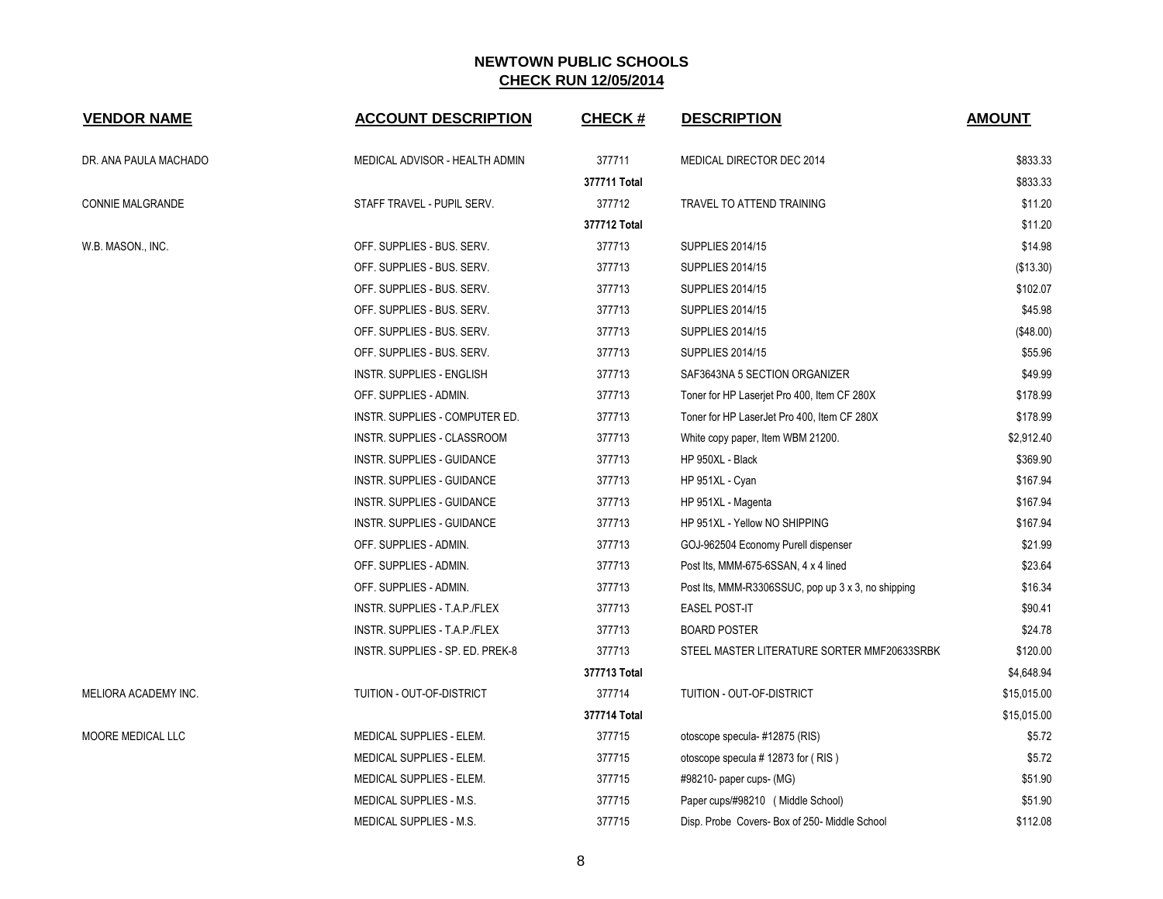| <b>VENDOR NAME</b>      | <b>ACCOUNT DESCRIPTION</b>       | <b>CHECK#</b> | <b>DESCRIPTION</b>                                 | <b>AMOUNT</b> |
|-------------------------|----------------------------------|---------------|----------------------------------------------------|---------------|
| DR. ANA PAULA MACHADO   | MEDICAL ADVISOR - HEALTH ADMIN   | 377711        | MEDICAL DIRECTOR DEC 2014                          | \$833.33      |
|                         |                                  | 377711 Total  |                                                    | \$833.33      |
| <b>CONNIE MALGRANDE</b> | STAFF TRAVEL - PUPIL SERV.       | 377712        | TRAVEL TO ATTEND TRAINING                          | \$11.20       |
|                         |                                  | 377712 Total  |                                                    | \$11.20       |
| W.B. MASON., INC.       | OFF. SUPPLIES - BUS. SERV.       | 377713        | <b>SUPPLIES 2014/15</b>                            | \$14.98       |
|                         | OFF. SUPPLIES - BUS. SERV.       | 377713        | <b>SUPPLIES 2014/15</b>                            | (\$13.30)     |
|                         | OFF. SUPPLIES - BUS. SERV.       | 377713        | <b>SUPPLIES 2014/15</b>                            | \$102.07      |
|                         | OFF. SUPPLIES - BUS. SERV.       | 377713        | <b>SUPPLIES 2014/15</b>                            | \$45.98       |
|                         | OFF. SUPPLIES - BUS. SERV.       | 377713        | <b>SUPPLIES 2014/15</b>                            | (\$48.00)     |
|                         | OFF. SUPPLIES - BUS. SERV.       | 377713        | <b>SUPPLIES 2014/15</b>                            | \$55.96       |
|                         | INSTR. SUPPLIES - ENGLISH        | 377713        | SAF3643NA 5 SECTION ORGANIZER                      | \$49.99       |
|                         | OFF. SUPPLIES - ADMIN.           | 377713        | Toner for HP Laserjet Pro 400, Item CF 280X        | \$178.99      |
|                         | INSTR. SUPPLIES - COMPUTER ED.   | 377713        | Toner for HP LaserJet Pro 400, Item CF 280X        | \$178.99      |
|                         | INSTR. SUPPLIES - CLASSROOM      | 377713        | White copy paper, Item WBM 21200.                  | \$2,912.40    |
|                         | INSTR. SUPPLIES - GUIDANCE       | 377713        | HP 950XL - Black                                   | \$369.90      |
|                         | INSTR. SUPPLIES - GUIDANCE       | 377713        | HP 951XL - Cyan                                    | \$167.94      |
|                         | INSTR. SUPPLIES - GUIDANCE       | 377713        | HP 951XL - Magenta                                 | \$167.94      |
|                         | INSTR. SUPPLIES - GUIDANCE       | 377713        | HP 951XL - Yellow NO SHIPPING                      | \$167.94      |
|                         | OFF. SUPPLIES - ADMIN.           | 377713        | GOJ-962504 Economy Purell dispenser                | \$21.99       |
|                         | OFF. SUPPLIES - ADMIN.           | 377713        | Post Its, MMM-675-6SSAN, 4 x 4 lined               | \$23.64       |
|                         | OFF. SUPPLIES - ADMIN.           | 377713        | Post Its, MMM-R3306SSUC, pop up 3 x 3, no shipping | \$16.34       |
|                         | INSTR. SUPPLIES - T.A.P./FLEX    | 377713        | <b>EASEL POST-IT</b>                               | \$90.41       |
|                         | INSTR. SUPPLIES - T.A.P./FLEX    | 377713        | <b>BOARD POSTER</b>                                | \$24.78       |
|                         | INSTR. SUPPLIES - SP. ED. PREK-8 | 377713        | STEEL MASTER LITERATURE SORTER MMF20633SRBK        | \$120.00      |
|                         |                                  | 377713 Total  |                                                    | \$4,648.94    |
| MELIORA ACADEMY INC.    | TUITION - OUT-OF-DISTRICT        | 377714        | TUITION - OUT-OF-DISTRICT                          | \$15,015.00   |
|                         |                                  | 377714 Total  |                                                    | \$15,015.00   |
| MOORE MEDICAL LLC       | MEDICAL SUPPLIES - ELEM.         | 377715        | otoscope specula-#12875 (RIS)                      | \$5.72        |
|                         | MEDICAL SUPPLIES - ELEM.         | 377715        | otoscope specula # 12873 for (RIS)                 | \$5.72        |
|                         | MEDICAL SUPPLIES - ELEM.         | 377715        | #98210- paper cups- (MG)                           | \$51.90       |
|                         | <b>MEDICAL SUPPLIES - M.S.</b>   | 377715        | Paper cups/#98210 (Middle School)                  | \$51.90       |
|                         | MEDICAL SUPPLIES - M.S.          | 377715        | Disp. Probe Covers- Box of 250- Middle School      | \$112.08      |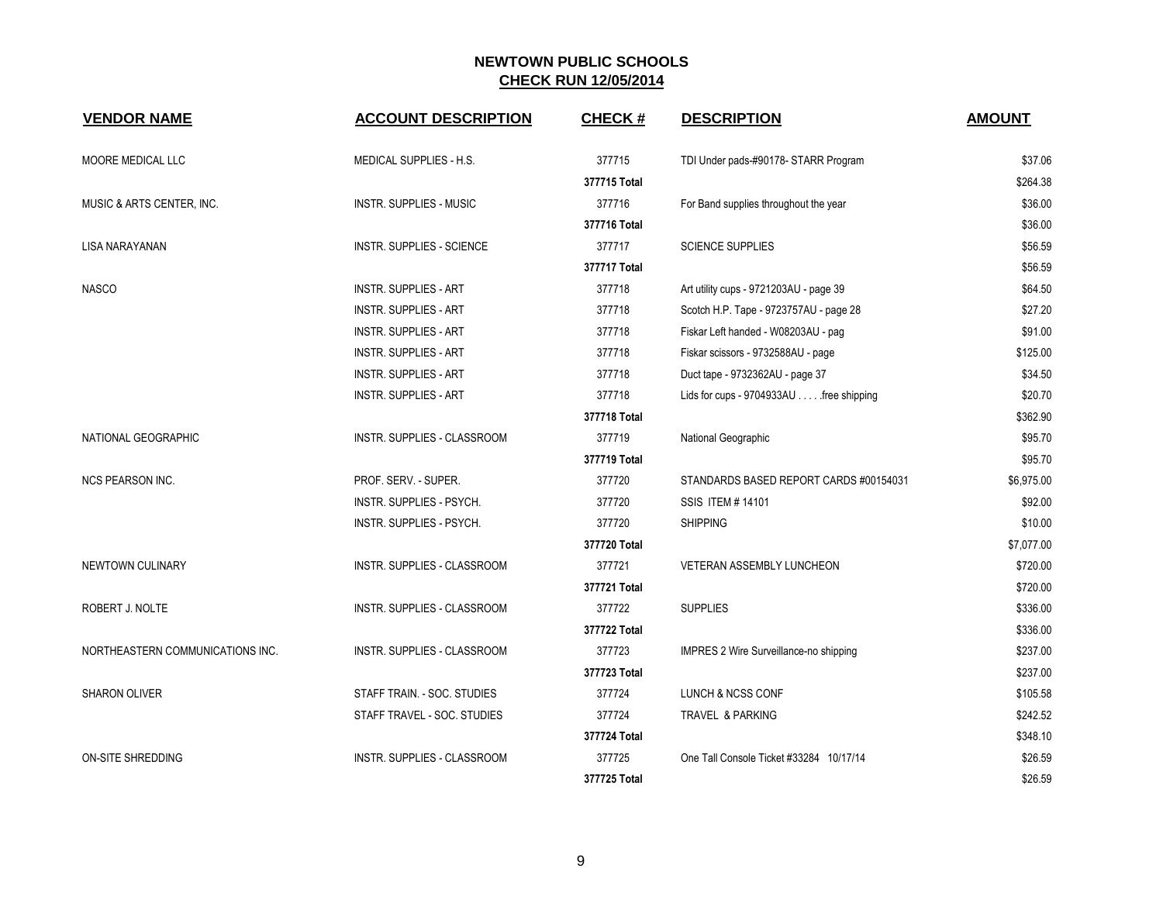| <b>VENDOR NAME</b>               | <b>ACCOUNT DESCRIPTION</b>     | <b>CHECK#</b> | <b>DESCRIPTION</b>                      | <b>AMOUNT</b> |
|----------------------------------|--------------------------------|---------------|-----------------------------------------|---------------|
| MOORE MEDICAL LLC                | MEDICAL SUPPLIES - H.S.        | 377715        | TDI Under pads-#90178- STARR Program    | \$37.06       |
|                                  |                                | 377715 Total  |                                         | \$264.38      |
| MUSIC & ARTS CENTER, INC.        | <b>INSTR. SUPPLIES - MUSIC</b> | 377716        | For Band supplies throughout the year   | \$36.00       |
|                                  |                                | 377716 Total  |                                         | \$36.00       |
| <b>LISA NARAYANAN</b>            | INSTR. SUPPLIES - SCIENCE      | 377717        | <b>SCIENCE SUPPLIES</b>                 | \$56.59       |
|                                  |                                | 377717 Total  |                                         | \$56.59       |
| <b>NASCO</b>                     | <b>INSTR. SUPPLIES - ART</b>   | 377718        | Art utility cups - 9721203AU - page 39  | \$64.50       |
|                                  | <b>INSTR. SUPPLIES - ART</b>   | 377718        | Scotch H.P. Tape - 9723757AU - page 28  | \$27.20       |
|                                  | <b>INSTR. SUPPLIES - ART</b>   | 377718        | Fiskar Left handed - W08203AU - pag     | \$91.00       |
|                                  | <b>INSTR. SUPPLIES - ART</b>   | 377718        | Fiskar scissors - 9732588AU - page      | \$125.00      |
|                                  | <b>INSTR. SUPPLIES - ART</b>   | 377718        | Duct tape - 9732362AU - page 37         | \$34.50       |
|                                  | <b>INSTR. SUPPLIES - ART</b>   | 377718        | Lids for cups - 9704933AU free shipping | \$20.70       |
|                                  |                                | 377718 Total  |                                         | \$362.90      |
| NATIONAL GEOGRAPHIC              | INSTR. SUPPLIES - CLASSROOM    | 377719        | National Geographic                     | \$95.70       |
|                                  |                                | 377719 Total  |                                         | \$95.70       |
| <b>NCS PEARSON INC.</b>          | PROF. SERV. - SUPER.           | 377720        | STANDARDS BASED REPORT CARDS #00154031  | \$6,975.00    |
|                                  | INSTR. SUPPLIES - PSYCH.       | 377720        | SSIS ITEM # 14101                       | \$92.00       |
|                                  | INSTR. SUPPLIES - PSYCH.       | 377720        | <b>SHIPPING</b>                         | \$10.00       |
|                                  |                                | 377720 Total  |                                         | \$7,077.00    |
| NEWTOWN CULINARY                 | INSTR. SUPPLIES - CLASSROOM    | 377721        | <b>VETERAN ASSEMBLY LUNCHEON</b>        | \$720.00      |
|                                  |                                | 377721 Total  |                                         | \$720.00      |
| ROBERT J. NOLTE                  | INSTR. SUPPLIES - CLASSROOM    | 377722        | <b>SUPPLIES</b>                         | \$336.00      |
|                                  |                                | 377722 Total  |                                         | \$336.00      |
| NORTHEASTERN COMMUNICATIONS INC. | INSTR. SUPPLIES - CLASSROOM    | 377723        | IMPRES 2 Wire Surveillance-no shipping  | \$237.00      |
|                                  |                                | 377723 Total  |                                         | \$237.00      |
| <b>SHARON OLIVER</b>             | STAFF TRAIN. - SOC. STUDIES    | 377724        | LUNCH & NCSS CONF                       | \$105.58      |
|                                  | STAFF TRAVEL - SOC. STUDIES    | 377724        | TRAVEL & PARKING                        | \$242.52      |
|                                  |                                | 377724 Total  |                                         | \$348.10      |
| <b>ON-SITE SHREDDING</b>         | INSTR. SUPPLIES - CLASSROOM    | 377725        | One Tall Console Ticket #33284 10/17/14 | \$26.59       |
|                                  |                                | 377725 Total  |                                         | \$26.59       |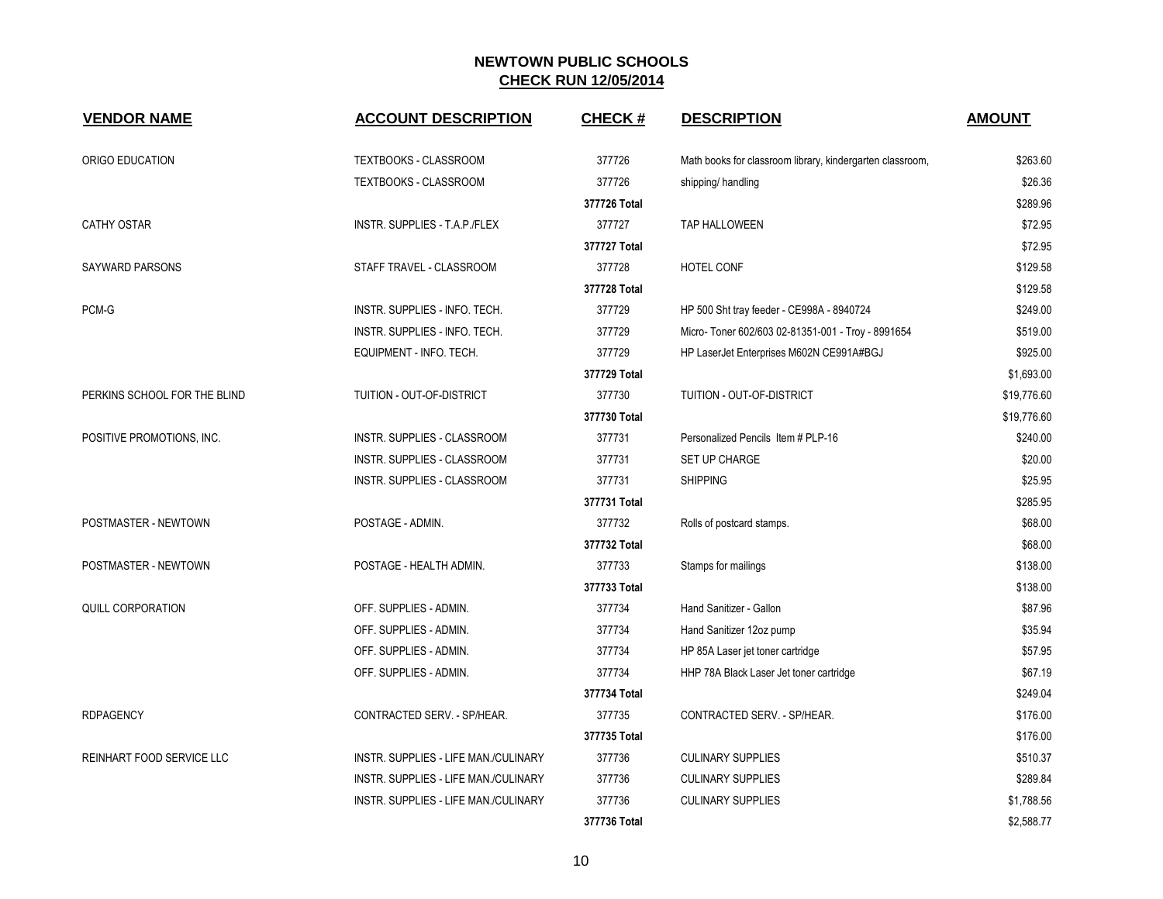| <b>VENDOR NAME</b>               | <b>ACCOUNT DESCRIPTION</b>           | <b>CHECK#</b> | <b>DESCRIPTION</b>                                        | <b>AMOUNT</b> |
|----------------------------------|--------------------------------------|---------------|-----------------------------------------------------------|---------------|
| ORIGO EDUCATION                  | TEXTBOOKS - CLASSROOM                | 377726        | Math books for classroom library, kindergarten classroom, | \$263.60      |
|                                  | TEXTBOOKS - CLASSROOM                | 377726        | shipping/handling                                         | \$26.36       |
|                                  |                                      | 377726 Total  |                                                           | \$289.96      |
| <b>CATHY OSTAR</b>               | INSTR. SUPPLIES - T.A.P./FLEX        | 377727        | <b>TAP HALLOWEEN</b>                                      | \$72.95       |
|                                  |                                      | 377727 Total  |                                                           | \$72.95       |
| <b>SAYWARD PARSONS</b>           | STAFF TRAVEL - CLASSROOM             | 377728        | <b>HOTEL CONF</b>                                         | \$129.58      |
|                                  |                                      | 377728 Total  |                                                           | \$129.58      |
| PCM-G                            | INSTR. SUPPLIES - INFO. TECH.        | 377729        | HP 500 Sht tray feeder - CE998A - 8940724                 | \$249.00      |
|                                  | INSTR. SUPPLIES - INFO. TECH.        | 377729        | Micro- Toner 602/603 02-81351-001 - Troy - 8991654        | \$519.00      |
|                                  | EQUIPMENT - INFO. TECH.              | 377729        | HP LaserJet Enterprises M602N CE991A#BGJ                  | \$925.00      |
|                                  |                                      | 377729 Total  |                                                           | \$1,693.00    |
| PERKINS SCHOOL FOR THE BLIND     | TUITION - OUT-OF-DISTRICT            | 377730        | TUITION - OUT-OF-DISTRICT                                 | \$19,776.60   |
|                                  |                                      | 377730 Total  |                                                           | \$19,776.60   |
| POSITIVE PROMOTIONS, INC.        | INSTR. SUPPLIES - CLASSROOM          | 377731        | Personalized Pencils Item # PLP-16                        | \$240.00      |
|                                  | INSTR. SUPPLIES - CLASSROOM          | 377731        | SET UP CHARGE                                             | \$20.00       |
|                                  | INSTR. SUPPLIES - CLASSROOM          | 377731        | <b>SHIPPING</b>                                           | \$25.95       |
|                                  |                                      | 377731 Total  |                                                           | \$285.95      |
| POSTMASTER - NEWTOWN             | POSTAGE - ADMIN.                     | 377732        | Rolls of postcard stamps.                                 | \$68.00       |
|                                  |                                      | 377732 Total  |                                                           | \$68.00       |
| POSTMASTER - NEWTOWN             | POSTAGE - HEALTH ADMIN.              | 377733        | Stamps for mailings                                       | \$138.00      |
|                                  |                                      | 377733 Total  |                                                           | \$138.00      |
| QUILL CORPORATION                | OFF. SUPPLIES - ADMIN.               | 377734        | Hand Sanitizer - Gallon                                   | \$87.96       |
|                                  | OFF. SUPPLIES - ADMIN.               | 377734        | Hand Sanitizer 12oz pump                                  | \$35.94       |
|                                  | OFF. SUPPLIES - ADMIN.               | 377734        | HP 85A Laser jet toner cartridge                          | \$57.95       |
|                                  | OFF. SUPPLIES - ADMIN.               | 377734        | HHP 78A Black Laser Jet toner cartridge                   | \$67.19       |
|                                  |                                      | 377734 Total  |                                                           | \$249.04      |
| <b>RDPAGENCY</b>                 | CONTRACTED SERV. - SP/HEAR.          | 377735        | CONTRACTED SERV. - SP/HEAR.                               | \$176.00      |
|                                  |                                      | 377735 Total  |                                                           | \$176.00      |
| <b>REINHART FOOD SERVICE LLC</b> | INSTR. SUPPLIES - LIFE MAN./CULINARY | 377736        | <b>CULINARY SUPPLIES</b>                                  | \$510.37      |
|                                  | INSTR. SUPPLIES - LIFE MAN./CULINARY | 377736        | <b>CULINARY SUPPLIES</b>                                  | \$289.84      |
|                                  | INSTR. SUPPLIES - LIFE MAN./CULINARY | 377736        | <b>CULINARY SUPPLIES</b>                                  | \$1,788.56    |
|                                  |                                      | 377736 Total  |                                                           | \$2,588.77    |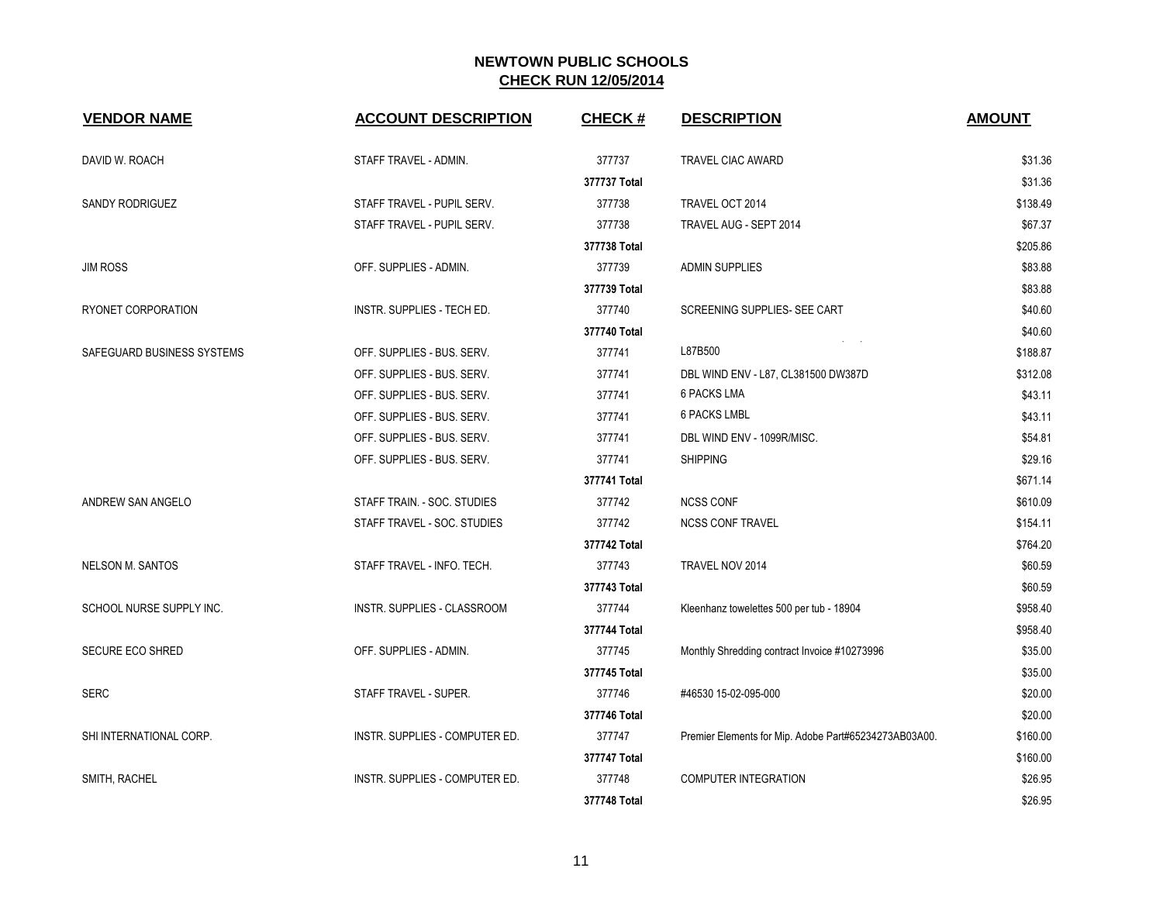| <b>VENDOR NAME</b>         | <b>ACCOUNT DESCRIPTION</b>     | <b>CHECK#</b> | <b>DESCRIPTION</b>                                    | <b>AMOUNT</b> |
|----------------------------|--------------------------------|---------------|-------------------------------------------------------|---------------|
| DAVID W. ROACH             | STAFF TRAVEL - ADMIN.          | 377737        | <b>TRAVEL CIAC AWARD</b>                              | \$31.36       |
|                            |                                | 377737 Total  |                                                       | \$31.36       |
| SANDY RODRIGUEZ            | STAFF TRAVEL - PUPIL SERV.     | 377738        | TRAVEL OCT 2014                                       | \$138.49      |
|                            | STAFF TRAVEL - PUPIL SERV.     | 377738        | TRAVEL AUG - SEPT 2014                                | \$67.37       |
|                            |                                | 377738 Total  |                                                       | \$205.86      |
| <b>JIM ROSS</b>            | OFF. SUPPLIES - ADMIN.         | 377739        | <b>ADMIN SUPPLIES</b>                                 | \$83.88       |
|                            |                                | 377739 Total  |                                                       | \$83.88       |
| RYONET CORPORATION         | INSTR. SUPPLIES - TECH ED.     | 377740        | SCREENING SUPPLIES- SEE CART                          | \$40.60       |
|                            |                                | 377740 Total  |                                                       | \$40.60       |
| SAFEGUARD BUSINESS SYSTEMS | OFF. SUPPLIES - BUS. SERV.     | 377741        | L87B500                                               | \$188.87      |
|                            | OFF. SUPPLIES - BUS. SERV.     | 377741        | DBL WIND ENV - L87, CL381500 DW387D                   | \$312.08      |
|                            | OFF. SUPPLIES - BUS. SERV.     | 377741        | <b>6 PACKS LMA</b>                                    | \$43.11       |
|                            | OFF. SUPPLIES - BUS. SERV.     | 377741        | <b>6 PACKS LMBL</b>                                   | \$43.11       |
|                            | OFF. SUPPLIES - BUS. SERV.     | 377741        | DBL WIND ENV - 1099R/MISC.                            | \$54.81       |
|                            | OFF. SUPPLIES - BUS. SERV.     | 377741        | <b>SHIPPING</b>                                       | \$29.16       |
|                            |                                | 377741 Total  |                                                       | \$671.14      |
| ANDREW SAN ANGELO          | STAFF TRAIN. - SOC. STUDIES    | 377742        | <b>NCSS CONF</b>                                      | \$610.09      |
|                            | STAFF TRAVEL - SOC. STUDIES    | 377742        | <b>NCSS CONF TRAVEL</b>                               | \$154.11      |
|                            |                                | 377742 Total  |                                                       | \$764.20      |
| <b>NELSON M. SANTOS</b>    | STAFF TRAVEL - INFO. TECH.     | 377743        | TRAVEL NOV 2014                                       | \$60.59       |
|                            |                                | 377743 Total  |                                                       | \$60.59       |
| SCHOOL NURSE SUPPLY INC.   | INSTR. SUPPLIES - CLASSROOM    | 377744        | Kleenhanz towelettes 500 per tub - 18904              | \$958.40      |
|                            |                                | 377744 Total  |                                                       | \$958.40      |
| <b>SECURE ECO SHRED</b>    | OFF. SUPPLIES - ADMIN.         | 377745        | Monthly Shredding contract Invoice #10273996          | \$35.00       |
|                            |                                | 377745 Total  |                                                       | \$35.00       |
| <b>SERC</b>                | STAFF TRAVEL - SUPER.          | 377746        | #46530 15-02-095-000                                  | \$20.00       |
|                            |                                | 377746 Total  |                                                       | \$20.00       |
| SHI INTERNATIONAL CORP.    | INSTR. SUPPLIES - COMPUTER ED. | 377747        | Premier Elements for Mip. Adobe Part#65234273AB03A00. | \$160.00      |
|                            |                                | 377747 Total  |                                                       | \$160.00      |
| SMITH, RACHEL              | INSTR. SUPPLIES - COMPUTER ED. | 377748        | <b>COMPUTER INTEGRATION</b>                           | \$26.95       |
|                            |                                | 377748 Total  |                                                       | \$26.95       |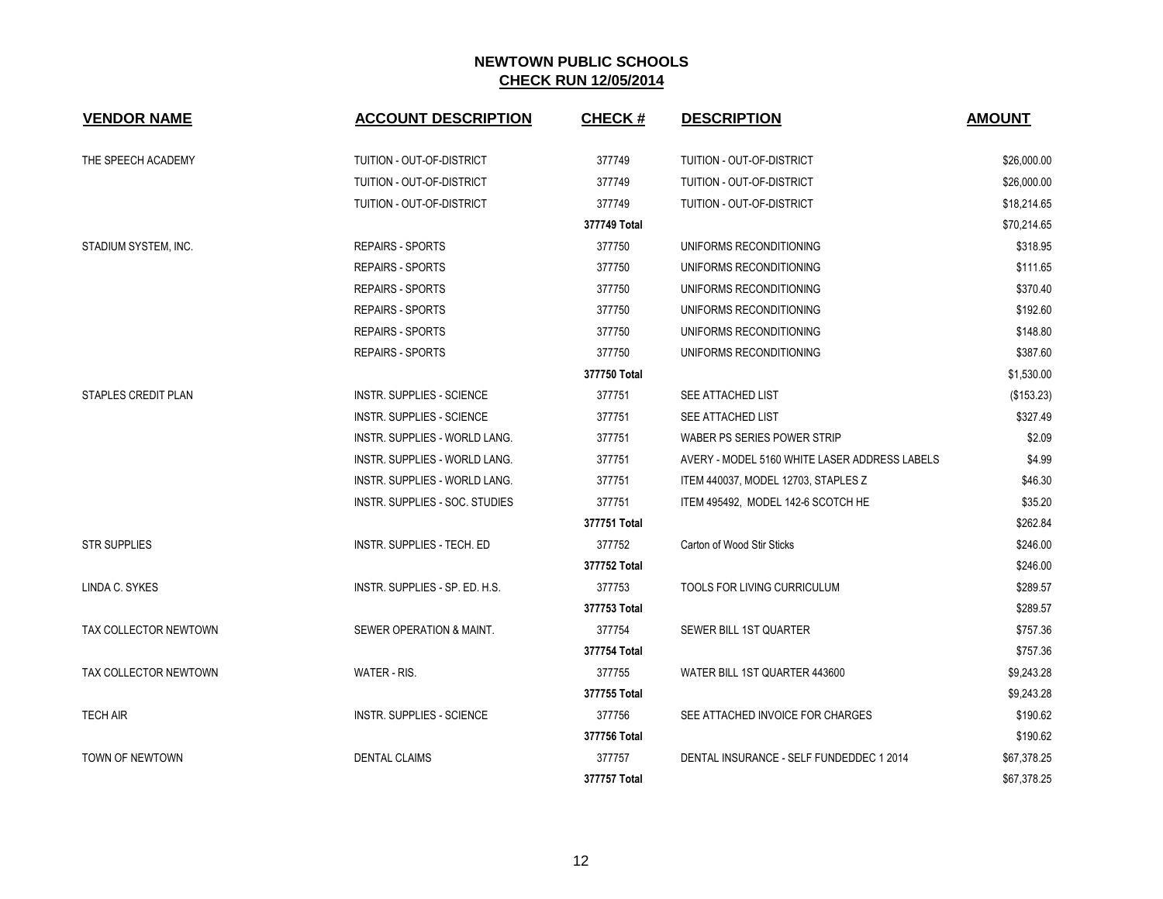| <b>VENDOR NAME</b>    | <b>ACCOUNT DESCRIPTION</b>           | <b>CHECK#</b> | <b>DESCRIPTION</b>                            | <b>AMOUNT</b> |
|-----------------------|--------------------------------------|---------------|-----------------------------------------------|---------------|
| THE SPEECH ACADEMY    | TUITION - OUT-OF-DISTRICT            | 377749        | TUITION - OUT-OF-DISTRICT                     | \$26,000.00   |
|                       | TUITION - OUT-OF-DISTRICT            | 377749        | TUITION - OUT-OF-DISTRICT                     | \$26,000.00   |
|                       | TUITION - OUT-OF-DISTRICT            | 377749        | TUITION - OUT-OF-DISTRICT                     | \$18,214.65   |
|                       |                                      | 377749 Total  |                                               | \$70,214.65   |
| STADIUM SYSTEM, INC.  | <b>REPAIRS - SPORTS</b>              | 377750        | UNIFORMS RECONDITIONING                       | \$318.95      |
|                       | <b>REPAIRS - SPORTS</b>              | 377750        | UNIFORMS RECONDITIONING                       | \$111.65      |
|                       | <b>REPAIRS - SPORTS</b>              | 377750        | UNIFORMS RECONDITIONING                       | \$370.40      |
|                       | <b>REPAIRS - SPORTS</b>              | 377750        | UNIFORMS RECONDITIONING                       | \$192.60      |
|                       | <b>REPAIRS - SPORTS</b>              | 377750        | UNIFORMS RECONDITIONING                       | \$148.80      |
|                       | <b>REPAIRS - SPORTS</b>              | 377750        | UNIFORMS RECONDITIONING                       | \$387.60      |
|                       |                                      | 377750 Total  |                                               | \$1,530.00    |
| STAPLES CREDIT PLAN   | INSTR. SUPPLIES - SCIENCE            | 377751        | SEE ATTACHED LIST                             | (\$153.23)    |
|                       | INSTR. SUPPLIES - SCIENCE            | 377751        | <b>SEE ATTACHED LIST</b>                      | \$327.49      |
|                       | INSTR. SUPPLIES - WORLD LANG.        | 377751        | WABER PS SERIES POWER STRIP                   | \$2.09        |
|                       | <b>INSTR. SUPPLIES - WORLD LANG.</b> | 377751        | AVERY - MODEL 5160 WHITE LASER ADDRESS LABELS | \$4.99        |
|                       | <b>INSTR. SUPPLIES - WORLD LANG.</b> | 377751        | ITEM 440037, MODEL 12703, STAPLES Z           | \$46.30       |
|                       | INSTR. SUPPLIES - SOC. STUDIES       | 377751        | ITEM 495492, MODEL 142-6 SCOTCH HE            | \$35.20       |
|                       |                                      | 377751 Total  |                                               | \$262.84      |
| <b>STR SUPPLIES</b>   | INSTR. SUPPLIES - TECH. ED           | 377752        | Carton of Wood Stir Sticks                    | \$246.00      |
|                       |                                      | 377752 Total  |                                               | \$246.00      |
| LINDA C. SYKES        | INSTR. SUPPLIES - SP. ED. H.S.       | 377753        | TOOLS FOR LIVING CURRICULUM                   | \$289.57      |
|                       |                                      | 377753 Total  |                                               | \$289.57      |
| TAX COLLECTOR NEWTOWN | SEWER OPERATION & MAINT.             | 377754        | SEWER BILL 1ST QUARTER                        | \$757.36      |
|                       |                                      | 377754 Total  |                                               | \$757.36      |
| TAX COLLECTOR NEWTOWN | WATER - RIS.                         | 377755        | WATER BILL 1ST QUARTER 443600                 | \$9,243.28    |
|                       |                                      | 377755 Total  |                                               | \$9,243.28    |
| <b>TECH AIR</b>       | INSTR. SUPPLIES - SCIENCE            | 377756        | SEE ATTACHED INVOICE FOR CHARGES              | \$190.62      |
|                       |                                      | 377756 Total  |                                               | \$190.62      |
| TOWN OF NEWTOWN       | <b>DENTAL CLAIMS</b>                 | 377757        | DENTAL INSURANCE - SELF FUNDEDDEC 1 2014      | \$67,378.25   |
|                       |                                      | 377757 Total  |                                               | \$67,378.25   |